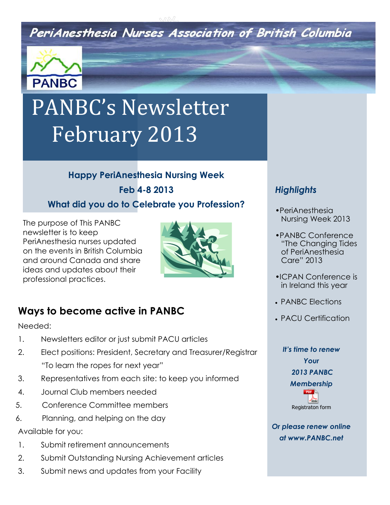PeriAnesthesia Nurses Association of British Columbia



# PANBC's Newsletter February 2013

#### **Happy PeriAnesthesia Nursing Week Feb 4-8 2013 What did you do to Celebrate you Profession?**  $\epsilon$ <sup>n</sup>

The purpose of This PANBC newsletter is to keep PeriAnesthesia nurses updated on the events in British Columbia and around Canada and share ideas and updates about their professional practices.



### **Ways to become active in PANBC**

Needed:

- 1. Newsletters editor or just submit PACU articles
- 2. Elect positions: President, Secretary and Treasurer/Registrar "To learn the ropes for next year"
- 3. Representatives from each site: to keep you informed
- 4. Journal Club members needed
- 5. Conference Committee members
- 6. Planning, and helping on the day

Available for you:

- 1. Submit retirement announcements
- 2. Submit Outstanding Nursing Achievement articles
- 3. Submit news and updates from your Facility

### **Highlights**

- •PeriAnesthesia Nursing Week 2013
- •PANBC Conference "The Changing Tides of PeriAnesthesia Care" 2013
- •ICPAN Conference is in Ireland this year
- PANBC Elections
- PACU Certification

### *It's time to renew Your 2013 PANBC Membership*  Registraton form

*Or please renew online at www.PANBC.net*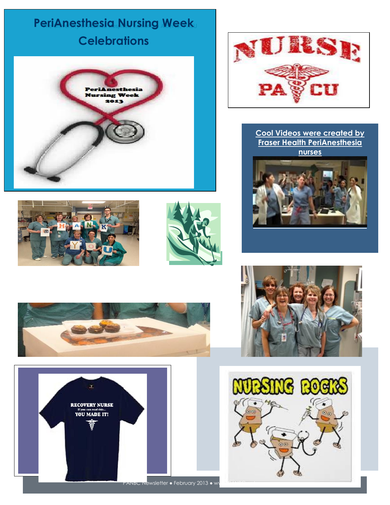## **PeriAnesthesia Nursing Week Celebrations**













### **Cool Videos were created by Fraser Health PeriAnesthesia nurses**





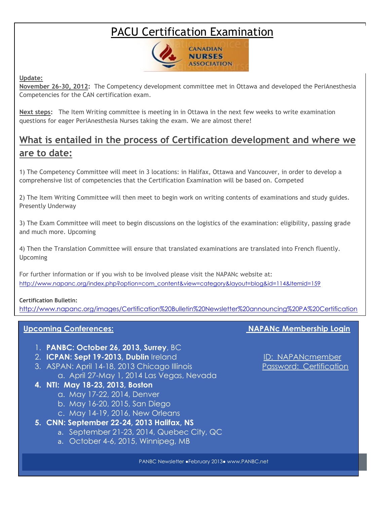### PACU [Certification Examination](http://www.napanc.org/education/103-certification-examination)



#### **Update:**

**November 26-30, 2012:** The Competency development committee met in Ottawa and developed the PeriAnesthesia Competencies for the CAN certification exam.

**Next steps:** The Item Writing committee is meeting in in Ottawa in the next few weeks to write examination questions for eager PeriAnesthesia Nurses taking the exam. We are almost there!

### **What is entailed in the process of Certification development and where we are to date:**

1) The Competency Committee will meet in 3 locations: in Halifax, Ottawa and Vancouver, in order to develop a comprehensive list of competencies that the Certification Examination will be based on. Competed

2) The Item Writing Committee will then meet to begin work on writing contents of examinations and study guides. Presently Underway

3) The Exam Committee will meet to begin discussions on the logistics of the examination: eligibility, passing grade and much more. Upcoming

4) Then the Translation Committee will ensure that translated examinations are translated into French fluently. Upcoming

For further information or if you wish to be involved please visit the NAPANc website at: [http://www.napanc.org/index.php?option=com\\_content&view=category&layout=blog&id=114&Itemid=159](http://www.napanc.org/index.php?option=com_content&view=category&layout=blog&id=114&Itemid=159)

#### **Certification Bulletin:**

[%202012%20Eng.pdf](http://www.napanc.org/images/Certification%20Bulletin%20Newsletter%20announcing%20PA%20Certification%202012%20Eng.pdf)

[http://www.napanc.org/images/Certification%20Bulletin%20Newsletter%20announcing%20PA%20Certification](http://www.napanc.org/images/Certification%20Bulletin%20Newsletter%20announcing%20PA%20Certification%202012%20Eng.pdf)

- 1. **PANBC: October 26, 2013, Surrey**, BC
- 2. **ICPAN: Sept 19-2013, Dublin** Ireland ID: NAPANcmember
- 3. ASPAN: April 14-18, 2013 Chicago Illinois Password: Certification a. April 27-May 1, 2014 Las Vegas, Nevada
- **4. NTI: May 18-23, 2013, Boston**
	- a. May 17-22, 2014, Denver
	- b. May 16-20, 2015, San Diego
	- c. May 14-19, 2016, New Orleans
- **5. CNN: September 22-24, 2013 Halifax, NS**
	- a. September 21-23, 2014, Quebec City, QC
	- a. October 4-6, 2015, Winnipeg, MB

PANBC Newsletter ●February 2013● www.PANBC.net

**Upcoming Conferences: NAPANc Membership Login**